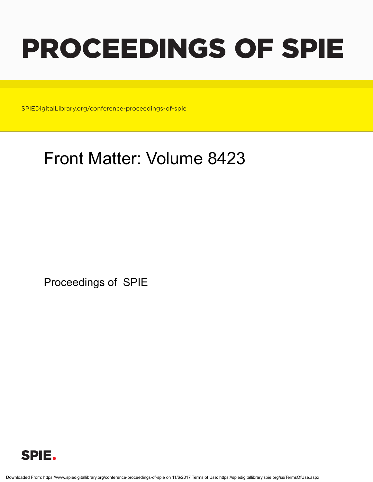# PROCEEDINGS OF SPIE

SPIEDigitalLibrary.org/conference-proceedings-of-spie

# Front Matter: Volume 8423

Proceedings of SPIE



Downloaded From: https://www.spiedigitallibrary.org/conference-proceedings-of-spie on 11/6/2017 Terms of Use: https://spiedigitallibrary.spie.org/ss/TermsOfUse.aspx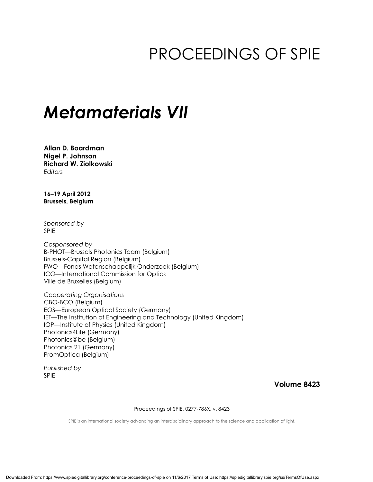# PROCEEDINGS OF SPIE

## *Metamaterials VII*

**Allan D. Boardman Nigel P. Johnson Richard W. Ziolkowski**  *Editors* 

**16–19 April 2012 Brussels, Belgium** 

*Sponsored by*  SPIE

*Cosponsored by*  B-PHOT—Brussels Photonics Team (Belgium) Brussels-Capital Region (Belgium) FWO—Fonds Wetenschappelijk Onderzoek (Belgium) ICO—International Commission for Optics Ville de Bruxelles (Belgium)

*Cooperating Organisations*  CBO-BCO (Belgium) EOS—European Optical Society (Germany) IET—The Institution of Engineering and Technology (United Kingdom) IOP—Institute of Physics (United Kingdom) Photonics4Life (Germany) Photonics@be (Belgium) Photonics 21 (Germany) PromOptica (Belgium)

*Published by*  SPIE

**Volume 8423** 

Proceedings of SPIE, 0277-786X, v. 8423

SPIE is an international society advancing an interdisciplinary approach to the science and application of light.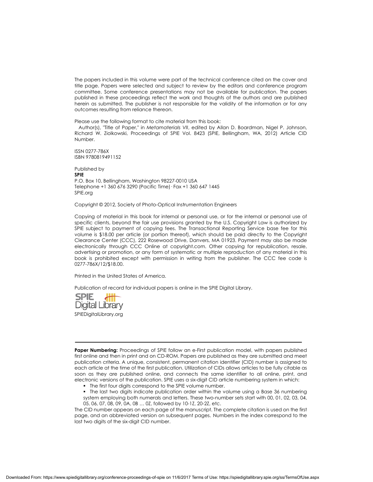The papers included in this volume were part of the technical conference cited on the cover and title page. Papers were selected and subject to review by the editors and conference program committee. Some conference presentations may not be available for publication. The papers published in these proceedings reflect the work and thoughts of the authors and are published herein as submitted. The publisher is not responsible for the validity of the information or for any outcomes resulting from reliance thereon.

Please use the following format to cite material from this book:

 Author(s), "Title of Paper," in *Metamaterials VII*, edited by Allan D. Boardman, Nigel P. Johnson, Richard W. Ziolkowski, Proceedings of SPIE Vol. 8423 (SPIE, Bellingham, WA, 2012) Article CID Number.

ISSN 0277-786X ISBN 9780819491152

Published by **SPIE** P.O. Box 10, Bellingham, Washington 98227-0010 USA Telephone +1 360 676 3290 (Pacific Time)· Fax +1 360 647 1445 SPIE.org

Copyright © 2012, Society of Photo-Optical Instrumentation Engineers

Copying of material in this book for internal or personal use, or for the internal or personal use of specific clients, beyond the fair use provisions granted by the U.S. Copyright Law is authorized by SPIE subject to payment of copying fees. The Transactional Reporting Service base fee for this volume is \$18.00 per article (or portion thereof), which should be paid directly to the Copyright Clearance Center (CCC), 222 Rosewood Drive, Danvers, MA 01923. Payment may also be made electronically through CCC Online at copyright.com. Other copying for republication, resale, advertising or promotion, or any form of systematic or multiple reproduction of any material in this book is prohibited except with permission in writing from the publisher. The CCC fee code is 0277-786X/12/\$18.00.

Printed in the United States of America.

Publication of record for individual papers is online in the SPIE Digital Library.



**Paper Numbering:** Proceedings of SPIE follow an e-First publication model, with papers published first online and then in print and on CD-ROM. Papers are published as they are submitted and meet publication criteria. A unique, consistent, permanent citation identifier (CID) number is assigned to each article at the time of the first publication. Utilization of CIDs allows articles to be fully citable as soon as they are published online, and connects the same identifier to all online, print, and electronic versions of the publication. SPIE uses a six-digit CID article numbering system in which:

- The first four digits correspond to the SPIE volume number.
- The last two digits indicate publication order within the volume using a Base 36 numbering system employing both numerals and letters. These two-number sets start with 00, 01, 02, 03, 04, 05, 06, 07, 08, 09, 0A, 0B … 0Z, followed by 10-1Z, 20-2Z, etc.

The CID number appears on each page of the manuscript. The complete citation is used on the first page, and an abbreviated version on subsequent pages. Numbers in the index correspond to the last two digits of the six-digit CID number.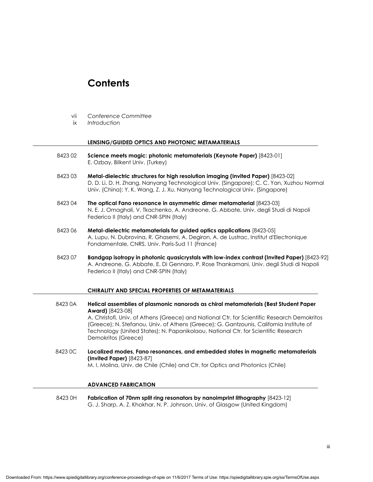### **Contents**

- vii *Conference Committee*
- ix *Introduction*

#### **LENSING/GUIDED OPTICS AND PHOTONIC METAMATERIALS**

- 8423 02 **Science meets magic: photonic metamaterials (Keynote Paper)** [8423-01] E. Ozbay, Bilkent Univ. (Turkey)
- 8423 03 **Metal-dielectric structures for high resolution imaging (Invited Paper)** [8423-02] D. D. Li, D. H. Zhang, Nanyang Technological Univ. (Singapore); C. C. Yan, Xuzhou Normal Univ. (China); Y. K. Wang, Z. J. Xu, Nanyang Technological Univ. (Singapore)
- 8423 04 **The optical Fano resonance in asymmetric dimer metamaterial** [8423-03] N. E. J. Omaghali, V. Tkachenko, A. Andreone, G. Abbate, Univ. degli Studi di Napoli Federico II (Italy) and CNR-SPIN (Italy)
- 8423 06 **Metal-dielectric metamaterials for guided optics applications** [8423-05] A. Lupu, N. Dubrovina, R. Ghasemi, A. Degiron, A. de Lustrac, Institut d'Electronique Fondamentale, CNRS, Univ. Paris-Sud 11 (France)
- 8423 07 **Bandgap isotropy in photonic quasicrystals with low-index contrast (Invited Paper)** [8423-92] A. Andreone, G. Abbate, E. Di Gennaro, P. Rose Thankamani, Univ. degli Studi di Napoli Federico II (Italy) and CNR-SPIN (Italy)

#### **CHIRALITY AND SPECIAL PROPERTIES OF METAMATERIALS**

- 8423 0A **Helical assemblies of plasmonic nanorods as chiral metamaterials (Best Student Paper Award)** [8423-08] A. Christofi, Univ. of Athens (Greece) and National Ctr. for Scientific Research Demokritos (Greece); N. Stefanou, Univ. of Athens (Greece); G. Gantzounis, California Institute of Technology (United States); N. Papanikolaou, National Ctr. for Scientific Research Demokritos (Greece) 8423 0C **Localized modes, Fano resonances, and embedded states in magnetic metamaterials (Invited Paper)** [8423-87]
	- M. I. Molina, Univ. de Chile (Chile) and Ctr. for Optics and Photonics (Chile)

#### **ADVANCED FABRICATION**

 8423 0H **Fabrication of 70nm split ring resonators by nanoimprint lithography** [8423-12] G. J. Sharp, A. Z. Khokhar, N. P. Johnson, Univ. of Glasgow (United Kingdom)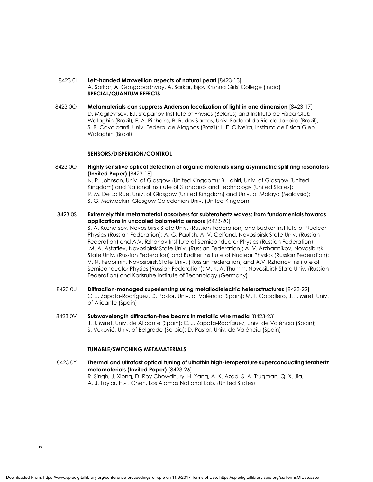- 8423 0I **Left-handed Maxwellian aspects of natural pearl** [8423-13] A. Sarkar, A. Gangopadhyay, A. Sarkar, Bijoy Krishna Girls' College (India)  **SPECIAL/QUANTUM EFFECTS**
- 8423 0O **Metamaterials can suppress Anderson localization of light in one dimension** [8423-17] D. Mogilevtsev, B.I. Stepanov Institute of Physics (Belarus) and Instituto de Física Gleb Wataghin (Brazil); F. A. Pinheiro, R. R. dos Santos, Univ. Federal do Rio de Janeiro (Brazil); S. B. Cavalcanti, Univ. Federal de Alagoas (Brazil); L. E. Oliveira, Instituto de Física Gleb Wataghin (Brazil)

#### **SENSORS/DISPERSION/CONTROL**

- 8423 0Q **Highly sensitive optical detection of organic materials using asymmetric split ring resonators (Invited Paper)** [8423-18] N. P. Johnson, Univ. of Glasgow (United Kingdom); B. Lahiri, Univ. of Glasgow (United Kingdom) and National Institute of Standards and Technology (United States); R. M. De La Rue, Univ. of Glasgow (United Kingdom) and Univ. of Malaya (Malaysia); S. G. McMeekin, Glasgow Caledonian Univ. (United Kingdom)
- 8423 0S **Extremely thin metamaterial absorbers for subterahertz waves: from fundamentals towards applications in uncooled bolometric sensors** [8423-20]

 S. A. Kuznetsov, Novosibirsk State Univ. (Russian Federation) and Budker Institute of Nuclear Physics (Russian Federation); A. G. Paulish, A. V. Gelfand, Novosibirsk State Univ. (Russian Federation) and A.V. Rzhanov Institute of Semiconductor Physics (Russian Federation); M. A. Astafiev, Novosibirsk State Univ. (Russian Federation); A. V. Arzhannikov, Novosibirsk State Univ. (Russian Federation) and Budker Institute of Nuclear Physics (Russian Federation); V. N. Fedorinin, Novosibirsk State Univ. (Russian Federation) and A.V. Rzhanov Institute of Semiconductor Physics (Russian Federation); M. K. A. Thumm, Novosibirsk State Univ. (Russian Federation) and Karlsruhe Institute of Technology (Germany)

- 8423 0U **Diffraction-managed superlensing using metallodielectric heterostructures** [8423-22] C. J. Zapata-Rodríguez, D. Pastor, Univ. of València (Spain); M. T. Caballero, J. J. Miret, Univ. of Alicante (Spain)
- 8423 0V **Subwavelength diffraction-free beams in metallic wire media** [8423-23] J. J. Miret, Univ. de Alicante (Spain); C. J. Zapata-Rodríguez, Univ. de València (Spain); S. Vuković, Univ. of Belgrade (Serbia); D. Pastor, Univ. de València (Spain)

#### **TUNABLE/SWITCHING METAMATERIALS**

 8423 0Y **Thermal and ultrafast optical tuning of ultrathin high-temperature superconducting terahertz metamaterials (Invited Paper)** [8423-26] R. Singh, J. Xiong, D. Roy Chowdhury, H. Yang, A. K. Azad, S. A. Trugman, Q. X. Jia, A. J. Taylor, H.-T. Chen, Los Alamos National Lab. (United States)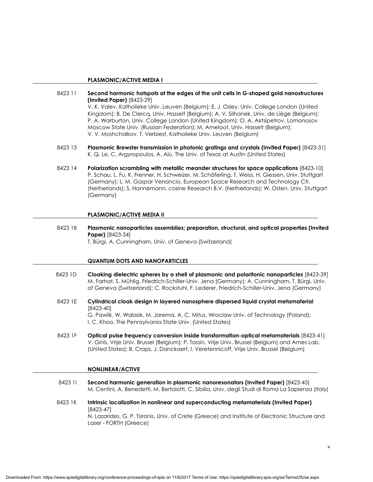#### **PLASMONIC/ACTIVE MEDIA I**

- 8423 11 **Second harmonic hotspots at the edges of the unit cells in G-shaped gold nanostructures (Invited Paper)** [8423-29] V. K. Valev, Katholieke Univ. Leuven (Belgium); E. J. Osley, Univ. College London (United Kingdom); B. De Clercq, Univ. Hasselt (Belgium); A. V. Silhanek, Univ. de Liège (Belgium); P. A. Warburton, Univ. College London (United Kingdom); O. A. Aktsipetrov, Lomonosov Moscow State Univ. (Russian Federation); M. Ameloot, Univ. Hasselt (Belgium); V. V. Moshchalkov, T. Verbiest, Katholieke Univ. Leuven (Belgium)
- 8423 13 **Plasmonic Brewster transmission in photonic gratings and crystals (Invited Paper)** [8423-31] K. Q. Le, C. Argyropoulos, A. Alù, The Univ. of Texas at Austin (United States)
- 8423 14 **Polarization scrambling with metallic meander structures for space applications** [8423-10] P. Schau, L. Fu, K. Frenner, H. Schweizer, M. Schäferling, T. Weiss, H. Giessen, Univ. Stuttgart (Germany); L. M. Gaspar Venancio, European Space Research and Technology Ctr. (Netherlands); S. Hannemann, cosine Research B.V. (Netherlands); W. Osten, Univ. Stuttgart (Germany)

#### **PLASMONIC/ACTIVE MEDIA II**

 8423 18 **Plasmonic nanoparticles assemblies: preparation, structural, and optical properties (Invited Paper)** [8423-34] T. Bürgi, A. Cunningham, Univ. of Geneva (Switzerland)

#### **QUANTUM DOTS AND NANOPARTICLES**

- 8423 1D **Cloaking dielectric spheres by a shell of plasmonic and polaritonic nanoparticles** [8423-39] M. Farhat, S. Mühlig, Friedrich-Schiller-Univ. Jena (Germany); A. Cunningham, T. Bürgi, Univ. of Geneva (Switzerland); C. Rockstuhl, F. Lederer, Friedrich-Schiller-Univ. Jena (Germany)
- 8423 1E **Cylindrical cloak design in layered nanosphere dispersed liquid crystal metamaterial**  [8423-40] G. Pawlik, W. Walasik, M. Jarema, A. C. Mitus, Wroclaw Univ. of Technology (Poland); I. C. Khoo, The Pennsylvania State Univ. (United States)
- 8423 1F **Optical pulse frequency conversion inside transformation-optical metamaterials** [8423-41] V. Ginis, Vrije Univ. Brussel (Belgium); P. Tassin, Vrije Univ. Brussel (Belgium) and Ames Lab. (United States); B. Craps, J. Danckaert, I. Veretennicoff, Vrije Univ. Brussel (Belgium)

#### **NONLINEAR/ACTIVE**

- 8423 1I **Second harmonic generation in plasmonic nanoresonators (Invited Paper)** [8423-45] M. Centini, A. Benedetti, M. Bertolotti, C. Sibilia, Univ. degli Studi di Roma La Sapienza (Italy)
- 8423 1K **Intrinsic localization in nonlinear and superconducting metamaterials (Invited Paper)**  [8423-47] N. Lazarides, G. P. Tsironis, Univ. of Crete (Greece) and Institute of Electronic Structure and Laser - FORTH (Greece)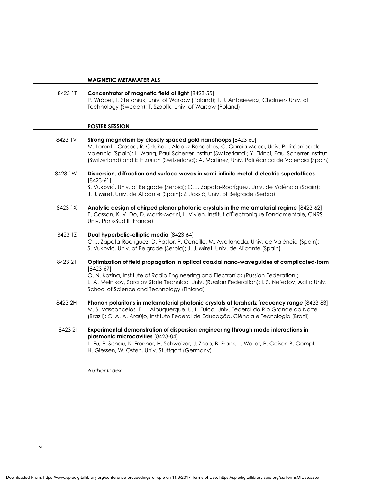#### **MAGNETIC METAMATERIALS**

 8423 1T **Concentrator of magnetic field of light** [8423-55] P. Wróbel, T. Stefaniuk, Univ. of Warsaw (Poland); T. J. Antosiewicz, Chalmers Univ. of Technology (Sweden); T. Szoplik, Univ. of Warsaw (Poland)

#### **POSTER SESSION**

- 8423 1V **Strong magnetism by closely spaced gold nanohoops** [8423-60] M. Lorente-Crespo, R. Ortuño, I. Alepuz-Benaches, C. García-Meca, Univ. Politécnica de Valencia (Spain); L. Wang, Paul Scherrer Institut (Switzerland); Y. Ekinci, Paul Scherrer Institut (Switzerland) and ETH Zurich (Switzerland); A. Martínez, Univ. Politécnica de Valencia (Spain)
- 8423 1W **Dispersion, diffraction and surface waves in semi-infinite metal-dielectric superlattices**  [8423-61]

 S. Vuković, Univ. of Belgrade (Serbia); C. J. Zapata-Rodríguez, Univ. de València (Spain); J. J. Miret, Univ. de Alicante (Spain); Z. Jaksić, Univ. of Belgrade (Serbia)

 8423 1X **Analytic design of chirped planar photonic crystals in the metamaterial regime** [8423-62] E. Cassan, K. V. Do, D. Marris-Morini, L. Vivien, Institut d'Électronique Fondamentale, CNRS, Univ. Paris-Sud II (France)

#### 8423 1Z **Dual hyperbolic-elliptic media** [8423-64]

 C. J. Zapata-Rodríguez, D. Pastor, P. Cencillo, M. Avellaneda, Univ. de València (Spain); S. Vuković, Univ. of Belgrade (Serbia); J. J. Miret, Univ. de Alicante (Spain)

 8423 21 **Optimization of field propagation in optical coaxial nano-waveguides of complicated-form**  [8423-67] O. N. Kozina, Institute of Radio Engineering and Electronics (Russian Federation);

L. A. Melnikov, Saratov State Technical Univ. (Russian Federation); I. S. Nefedov, Aalto Univ. School of Science and Technology (Finland)

- 8423 2H **Phonon polaritons in metamaterial photonic crystals at terahertz frequency range** [8423-83] M. S. Vasconcelos, E. L. Albuquerque, U. L. Fulco, Univ. Federal do Rio Grande do Norte (Brazil); C. A. A. Araújo, Instituto Federal de Educação, Ciência e Tecnologia (Brazil)
- 8423 2I **Experimental demonstration of dispersion engineering through mode interactions in plasmonic microcavities** [8423-84] L. Fu, P. Schau, K. Frenner, H. Schweizer, J. Zhao, B. Frank, L. Wollet, P. Gaiser, B. Gompf, H. Giessen, W. Osten, Univ. Stuttgart (Germany)

*Author Index*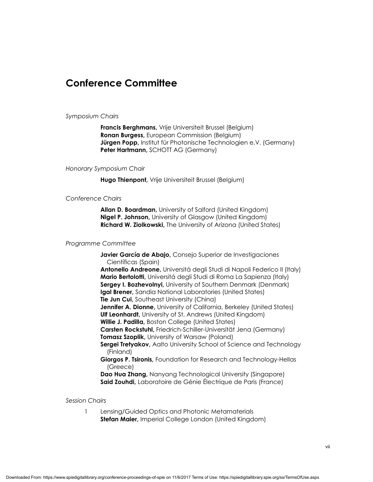### **Conference Committee**

#### *Symposium Chairs*

**Francis Berghmans,** Vrije Universiteit Brussel (Belgium) **Ronan Burgess,** European Commission (Belgium) **Jürgen Popp,** Institut für Photonische Technologien e.V. (Germany) **Peter Hartmann,** SCHOTT AG (Germany)

#### *Honorary Symposium Chair*

**Hugo Thienpont,** Vrije Universiteit Brussel (Belgium)

#### *Conference Chairs*

**Allan D. Boardman,** University of Salford (United Kingdom) **Nigel P. Johnson,** University of Glasgow (United Kingdom) **Richard W. Ziolkowski,** The University of Arizona (United States)

#### *Programme Committee*

**Javier García de Abajo,** Consejo Superior de Investigaciones Científicas (Spain)

**Antonello Andreone,** Universitá degli Studi di Napoli Federico II (Italy) **Mario Bertolotti,** Universitá degli Studi di Roma La Sapienza (Italy) **Sergey I. Bozhevolnyi, University of Southern Denmark (Denmark) Igal Brener,** Sandia National Laboratories (United States) **Tie Jun Cui, Southeast University (China) Jennifer A. Dionne,** University of California, Berkeley (United States) **Ulf Leonhardt,** University of St. Andrews (United Kingdom) **Willie J. Padilla,** Boston College (United States) **Carsten Rockstuhl,** Friedrich-Schiller-Universität Jena (Germany) **Tomasz Szoplik, University of Warsaw (Poland) Sergei Tretyakov, Aalto University School of Science and Technology** 

(Finland)

**Giorgos P. Tsironis,** Foundation for Research and Technology-Hellas (Greece)

**Dao Hua Zhang,** Nanyang Technological University (Singapore) **Said Zouhdi,** Laboratoire de Génie Électrique de Paris (France)

#### *Session Chairs*

 1 Lensing/Guided Optics and Photonic Metamaterials **Stefan Maier,** Imperial College London (United Kingdom)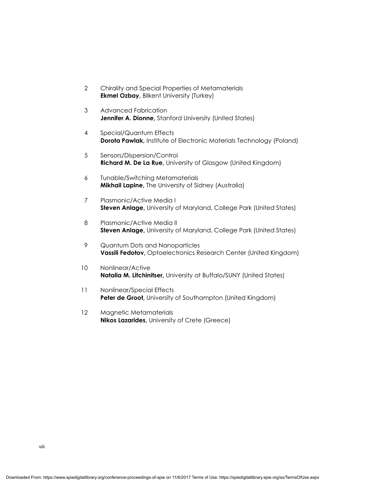- 2 Chirality and Special Properties of Metamaterials **Ekmel Ozbay,** Bilkent University (Turkey)
- 3 Advanced Fabrication **Jennifer A. Dionne, Stanford University (United States)**
- 4 Special/Quantum Effects **Dorota Pawlak,** Institute of Electronic Materials Technology (Poland)
- 5 Sensors/Dispersion/Control **Richard M. De La Rue,** University of Glasgow (United Kingdom)
- 6 Tunable/Switching Metamaterials **Mikhail Lapine,** The University of Sidney (Australia)
- 7 Plasmonic/Active Media I **Steven Anlage, University of Maryland, College Park (United States)**
- 8 Plasmonic/Active Media II **Steven Anlage,** University of Maryland, College Park (United States)
- 9 Quantum Dots and Nanoparticles **Vassili Fedotov,** Optoelectronics Research Center (United Kingdom)
- 10 Nonlinear/Active **Natalia M. Litchinitser,** University at Buffalo/SUNY (United States)
- 11 Nonlinear/Special Effects Peter de Groot, University of Southampton (United Kingdom)
- 12 Magnetic Metamaterials **Nikos Lazarides,** University of Crete (Greece)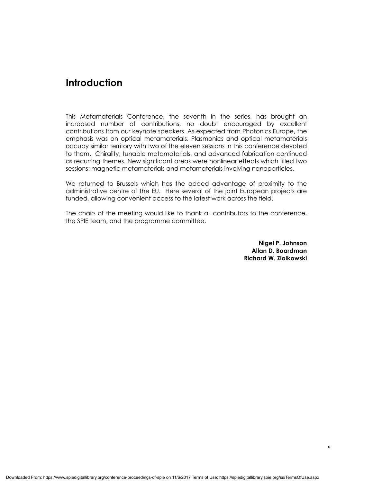### **Introduction**

This Metamaterials Conference, the seventh in the series, has brought an increased number of contributions, no doubt encouraged by excellent contributions from our keynote speakers. As expected from Photonics Europe, the emphasis was on optical metamaterials. Plasmonics and optical metamaterials occupy similar territory with two of the eleven sessions in this conference devoted to them. Chirality, tunable metamaterials, and advanced fabrication continued as recurring themes. New significant areas were nonlinear effects which filled two sessions: magnetic metamaterials and metamaterials involving nanoparticles.

We returned to Brussels which has the added advantage of proximity to the administrative centre of the EU. Here several of the joint European projects are funded, allowing convenient access to the latest work across the field.

The chairs of the meeting would like to thank all contributors to the conference, the SPIE team, and the programme committee.

> **Nigel P. Johnson Allan D. Boardman Richard W. Ziolkowski**